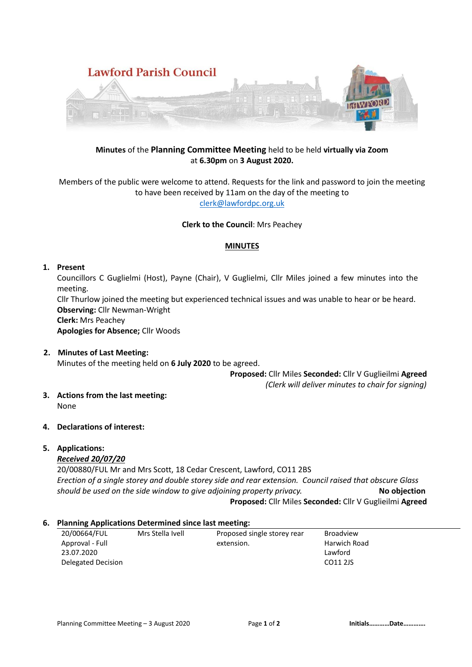

# **Minutes** of the **Planning Committee Meeting** held to be held **virtually via Zoom** at **6.30pm** on **3 August 2020.**

Members of the public were welcome to attend. Requests for the link and password to join the meeting to have been received by 11am on the day of the meeting to [clerk@lawfordpc.org.uk](mailto:clerk@lawfordpc.org.uk)

**Clerk to the Council**: Mrs Peachey

#### **MINUTES**

#### **1. Present**

Councillors C Guglielmi (Host), Payne (Chair), V Guglielmi, Cllr Miles joined a few minutes into the meeting.

Cllr Thurlow joined the meeting but experienced technical issues and was unable to hear or be heard. **Observing:** Cllr Newman-Wright

**Clerk:** Mrs Peachey

**Apologies for Absence;** Cllr Woods

**2. Minutes of Last Meeting:**

Minutes of the meeting held on **6 July 2020** to be agreed.

**Proposed:** Cllr Miles **Seconded:** Cllr V Guglieilmi **Agreed**  *(Clerk will deliver minutes to chair for signing)*

**3. Actions from the last meeting:**

None

**4. Declarations of interest:**

# **5. Applications:**

# *Received 20/07/20*

20/00880/FUL Mr and Mrs Scott, 18 Cedar Crescent, Lawford, CO11 2BS *Erection of a single storey and double storey side and rear extension. Council raised that obscure Glass should be used on the side window to give adjoining property privacy.* **No objection Proposed:** Cllr Miles **Seconded:** Cllr V Guglieilmi **Agreed**

### **6. Planning Applications Determined since last meeting:**

| 20/00664/FUL       | Mrs Stella Ivell | Proposed single storey rear | <b>Broadview</b> |
|--------------------|------------------|-----------------------------|------------------|
| Approval - Full    |                  | extension.                  | Harwich Road     |
| 23.07.2020         |                  |                             | Lawford          |
| Delegated Decision |                  |                             | CO11 2JS         |